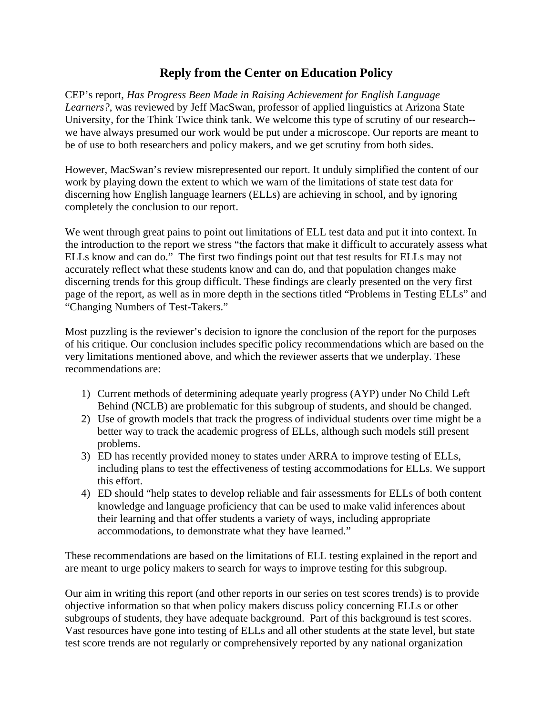## **Reply from the Center on Education Policy**

CEP's report, *Has Progress Been Made in Raising Achievement for English Language Learners?*, was reviewed by Jeff MacSwan, professor of applied linguistics at Arizona State University, for the Think Twice think tank. We welcome this type of scrutiny of our research- we have always presumed our work would be put under a microscope. Our reports are meant to be of use to both researchers and policy makers, and we get scrutiny from both sides.

However, MacSwan's review misrepresented our report. It unduly simplified the content of our work by playing down the extent to which we warn of the limitations of state test data for discerning how English language learners (ELLs) are achieving in school, and by ignoring completely the conclusion to our report.

We went through great pains to point out limitations of ELL test data and put it into context. In the introduction to the report we stress "the factors that make it difficult to accurately assess what ELLs know and can do." The first two findings point out that test results for ELLs may not accurately reflect what these students know and can do, and that population changes make discerning trends for this group difficult. These findings are clearly presented on the very first page of the report, as well as in more depth in the sections titled "Problems in Testing ELLs" and "Changing Numbers of Test-Takers."

Most puzzling is the reviewer's decision to ignore the conclusion of the report for the purposes of his critique. Our conclusion includes specific policy recommendations which are based on the very limitations mentioned above, and which the reviewer asserts that we underplay. These recommendations are:

- 1) Current methods of determining adequate yearly progress (AYP) under No Child Left Behind (NCLB) are problematic for this subgroup of students, and should be changed.
- 2) Use of growth models that track the progress of individual students over time might be a better way to track the academic progress of ELLs, although such models still present problems.
- 3) ED has recently provided money to states under ARRA to improve testing of ELLs, including plans to test the effectiveness of testing accommodations for ELLs. We support this effort.
- 4) ED should "help states to develop reliable and fair assessments for ELLs of both content knowledge and language proficiency that can be used to make valid inferences about their learning and that offer students a variety of ways, including appropriate accommodations, to demonstrate what they have learned."

These recommendations are based on the limitations of ELL testing explained in the report and are meant to urge policy makers to search for ways to improve testing for this subgroup.

Our aim in writing this report (and other reports in our series on test scores trends) is to provide objective information so that when policy makers discuss policy concerning ELLs or other subgroups of students, they have adequate background. Part of this background is test scores. Vast resources have gone into testing of ELLs and all other students at the state level, but state test score trends are not regularly or comprehensively reported by any national organization